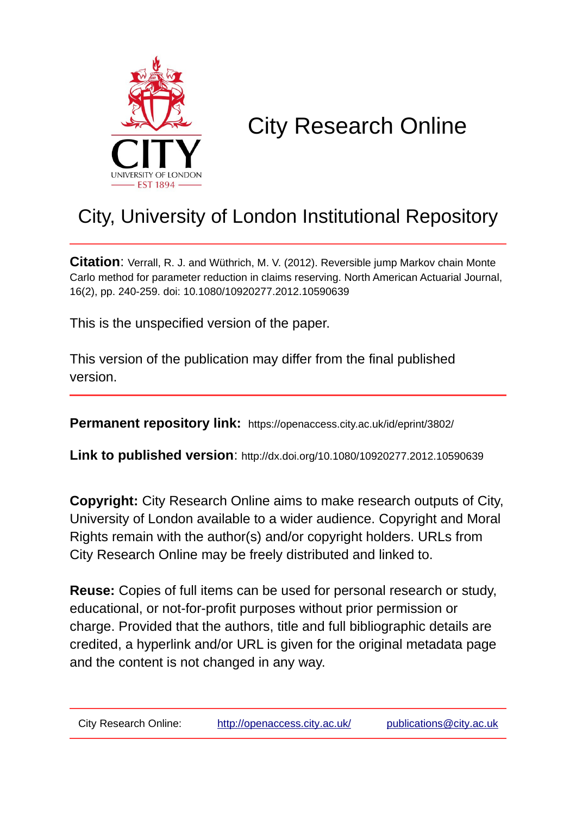

# City Research Online

## City, University of London Institutional Repository

**Citation**: Verrall, R. J. and Wüthrich, M. V. (2012). Reversible jump Markov chain Monte Carlo method for parameter reduction in claims reserving. North American Actuarial Journal, 16(2), pp. 240-259. doi: 10.1080/10920277.2012.10590639

This is the unspecified version of the paper.

This version of the publication may differ from the final published version.

**Permanent repository link:** https://openaccess.city.ac.uk/id/eprint/3802/

**Link to published version**: http://dx.doi.org/10.1080/10920277.2012.10590639

**Copyright:** City Research Online aims to make research outputs of City, University of London available to a wider audience. Copyright and Moral Rights remain with the author(s) and/or copyright holders. URLs from City Research Online may be freely distributed and linked to.

**Reuse:** Copies of full items can be used for personal research or study, educational, or not-for-profit purposes without prior permission or charge. Provided that the authors, title and full bibliographic details are credited, a hyperlink and/or URL is given for the original metadata page and the content is not changed in any way.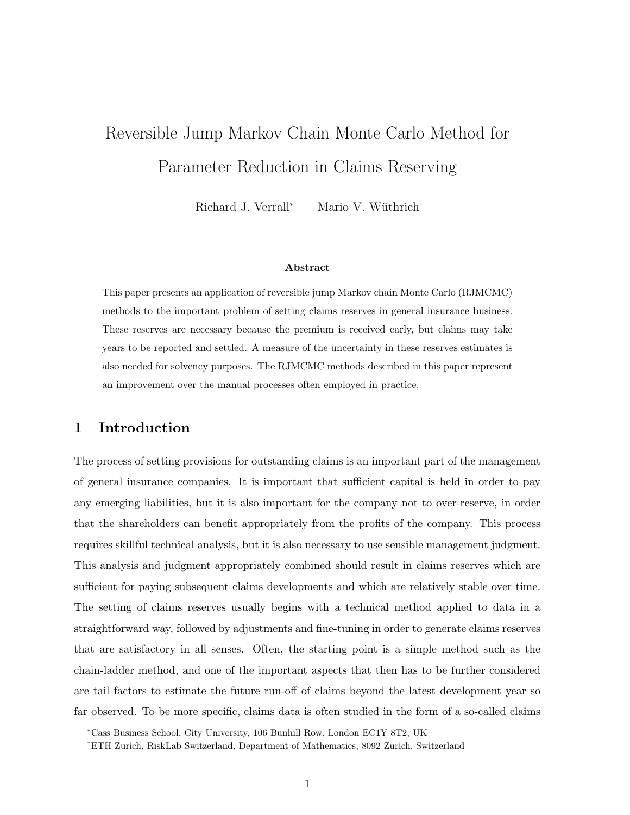## Reversible Jump Markov Chain Monte Carlo Method for Parameter Reduction in Claims Reserving

Richard J. Verrall<sup>∗</sup> Mario V. Wüthrich<sup>†</sup>

#### Abstract

This paper presents an application of reversible jump Markov chain Monte Carlo (RJMCMC) methods to the important problem of setting claims reserves in general insurance business. These reserves are necessary because the premium is received early, but claims may take years to be reported and settled. A measure of the uncertainty in these reserves estimates is also needed for solvency purposes. The RJMCMC methods described in this paper represent an improvement over the manual processes often employed in practice.

## 1 Introduction

The process of setting provisions for outstanding claims is an important part of the management of general insurance companies. It is important that sufficient capital is held in order to pay any emerging liabilities, but it is also important for the company not to over-reserve, in order that the shareholders can benefit appropriately from the profits of the company. This process requires skillful technical analysis, but it is also necessary to use sensible management judgment. This analysis and judgment appropriately combined should result in claims reserves which are sufficient for paying subsequent claims developments and which are relatively stable over time. The setting of claims reserves usually begins with a technical method applied to data in a straightforward way, followed by adjustments and fine-tuning in order to generate claims reserves that are satisfactory in all senses. Often, the starting point is a simple method such as the chain-ladder method, and one of the important aspects that then has to be further considered are tail factors to estimate the future run-off of claims beyond the latest development year so far observed. To be more specific, claims data is often studied in the form of a so-called claims

<sup>∗</sup>Cass Business School, City University, 106 Bunhill Row, London EC1Y 8T2, UK

<sup>†</sup>ETH Zurich, RiskLab Switzerland, Department of Mathematics, 8092 Zurich, Switzerland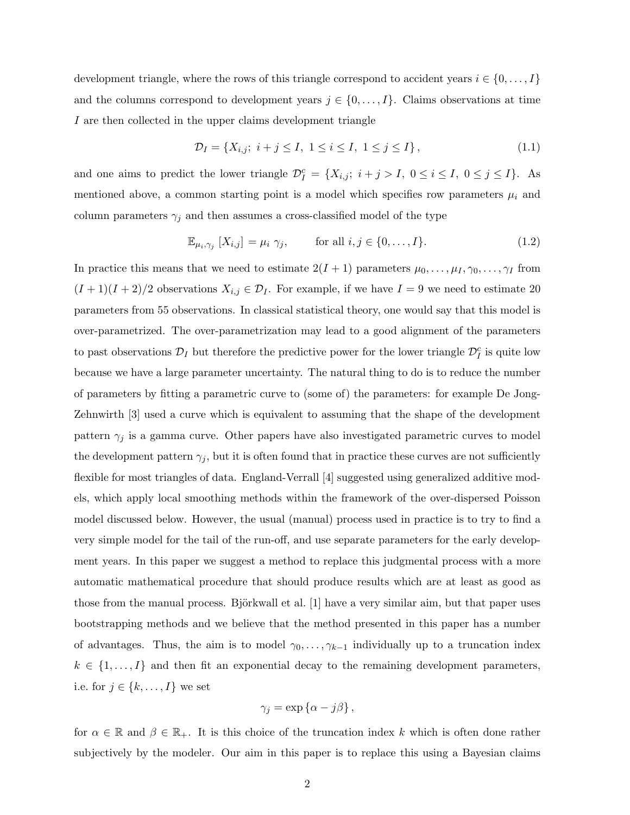development triangle, where the rows of this triangle correspond to accident years  $i \in \{0, \ldots, I\}$ and the columns correspond to development years  $j \in \{0, \ldots, I\}$ . Claims observations at time I are then collected in the upper claims development triangle

$$
\mathcal{D}_I = \{ X_{i,j}; \ i+j \le I, \ 1 \le i \le I, \ 1 \le j \le I \},\tag{1.1}
$$

and one aims to predict the lower triangle  $\mathcal{D}_{I}^{c} = \{X_{i,j}; i + j > I, 0 \leq i \leq I, 0 \leq j \leq I\}$ . As mentioned above, a common starting point is a model which specifies row parameters  $\mu_i$  and column parameters  $\gamma_j$  and then assumes a cross-classified model of the type

$$
\mathbb{E}_{\mu_i, \gamma_j} [X_{i,j}] = \mu_i \gamma_j, \quad \text{for all } i, j \in \{0, \dots, I\}. \tag{1.2}
$$

In practice this means that we need to estimate  $2(I + 1)$  parameters  $\mu_0, \ldots, \mu_I, \gamma_0, \ldots, \gamma_I$  from  $(I + 1)(I + 2)/2$  observations  $X_{i,j} \in \mathcal{D}_I$ . For example, if we have  $I = 9$  we need to estimate 20 parameters from 55 observations. In classical statistical theory, one would say that this model is over-parametrized. The over-parametrization may lead to a good alignment of the parameters to past observations  $\mathcal{D}_I$  but therefore the predictive power for the lower triangle  $\mathcal{D}_I^c$  is quite low because we have a large parameter uncertainty. The natural thing to do is to reduce the number of parameters by fitting a parametric curve to (some of) the parameters: for example De Jong-Zehnwirth [3] used a curve which is equivalent to assuming that the shape of the development pattern  $\gamma_j$  is a gamma curve. Other papers have also investigated parametric curves to model the development pattern  $\gamma_j$ , but it is often found that in practice these curves are not sufficiently flexible for most triangles of data. England-Verrall [4] suggested using generalized additive models, which apply local smoothing methods within the framework of the over-dispersed Poisson model discussed below. However, the usual (manual) process used in practice is to try to find a very simple model for the tail of the run-off, and use separate parameters for the early development years. In this paper we suggest a method to replace this judgmental process with a more automatic mathematical procedure that should produce results which are at least as good as those from the manual process. Björkwall et al.  $[1]$  have a very similar aim, but that paper uses bootstrapping methods and we believe that the method presented in this paper has a number of advantages. Thus, the aim is to model  $\gamma_0, \ldots, \gamma_{k-1}$  individually up to a truncation index  $k \in \{1, \ldots, I\}$  and then fit an exponential decay to the remaining development parameters, i.e. for  $j \in \{k, ..., I\}$  we set

$$
\gamma_j = \exp\left\{\alpha - j\beta\right\},\,
$$

for  $\alpha \in \mathbb{R}$  and  $\beta \in \mathbb{R}_+$ . It is this choice of the truncation index k which is often done rather subjectively by the modeler. Our aim in this paper is to replace this using a Bayesian claims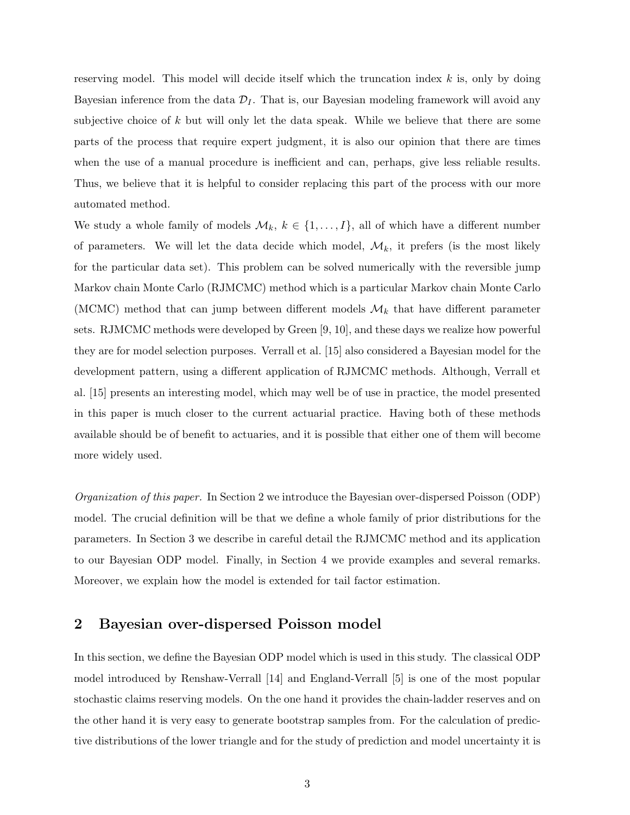reserving model. This model will decide itself which the truncation index  $k$  is, only by doing Bayesian inference from the data  $\mathcal{D}_I$ . That is, our Bayesian modeling framework will avoid any subjective choice of k but will only let the data speak. While we believe that there are some parts of the process that require expert judgment, it is also our opinion that there are times when the use of a manual procedure is inefficient and can, perhaps, give less reliable results. Thus, we believe that it is helpful to consider replacing this part of the process with our more automated method.

We study a whole family of models  $\mathcal{M}_k$ ,  $k \in \{1, ..., I\}$ , all of which have a different number of parameters. We will let the data decide which model,  $\mathcal{M}_k$ , it prefers (is the most likely for the particular data set). This problem can be solved numerically with the reversible jump Markov chain Monte Carlo (RJMCMC) method which is a particular Markov chain Monte Carlo (MCMC) method that can jump between different models  $\mathcal{M}_k$  that have different parameter sets. RJMCMC methods were developed by Green [9, 10], and these days we realize how powerful they are for model selection purposes. Verrall et al. [15] also considered a Bayesian model for the development pattern, using a different application of RJMCMC methods. Although, Verrall et al. [15] presents an interesting model, which may well be of use in practice, the model presented in this paper is much closer to the current actuarial practice. Having both of these methods available should be of benefit to actuaries, and it is possible that either one of them will become more widely used.

Organization of this paper. In Section 2 we introduce the Bayesian over-dispersed Poisson (ODP) model. The crucial definition will be that we define a whole family of prior distributions for the parameters. In Section 3 we describe in careful detail the RJMCMC method and its application to our Bayesian ODP model. Finally, in Section 4 we provide examples and several remarks. Moreover, we explain how the model is extended for tail factor estimation.

## 2 Bayesian over-dispersed Poisson model

In this section, we define the Bayesian ODP model which is used in this study. The classical ODP model introduced by Renshaw-Verrall [14] and England-Verrall [5] is one of the most popular stochastic claims reserving models. On the one hand it provides the chain-ladder reserves and on the other hand it is very easy to generate bootstrap samples from. For the calculation of predictive distributions of the lower triangle and for the study of prediction and model uncertainty it is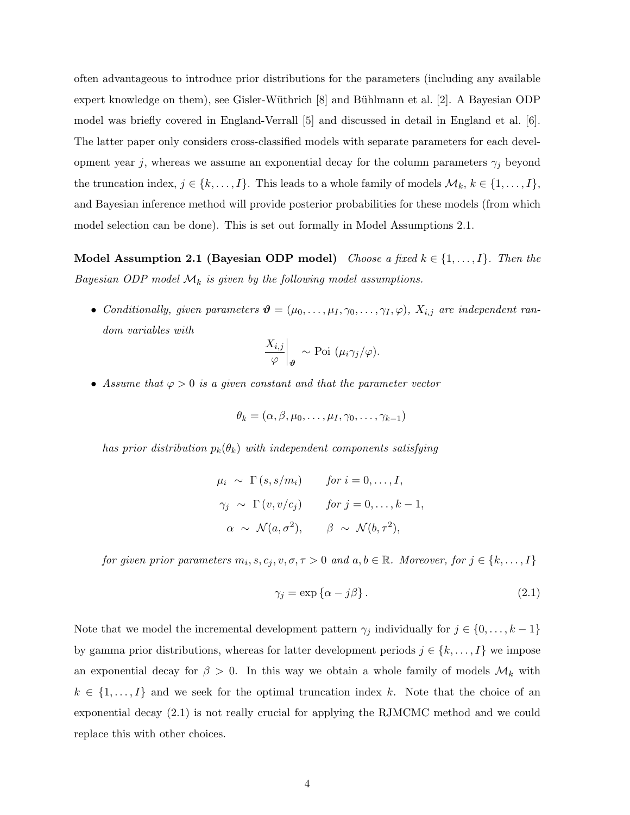often advantageous to introduce prior distributions for the parameters (including any available expert knowledge on them), see Gisler-Wüthrich [8] and Bühlmann et al. [2]. A Bayesian ODP model was briefly covered in England-Verrall [5] and discussed in detail in England et al. [6]. The latter paper only considers cross-classified models with separate parameters for each development year j, whereas we assume an exponential decay for the column parameters  $\gamma_j$  beyond the truncation index,  $j \in \{k, ..., I\}$ . This leads to a whole family of models  $\mathcal{M}_k$ ,  $k \in \{1, ..., I\}$ , and Bayesian inference method will provide posterior probabilities for these models (from which model selection can be done). This is set out formally in Model Assumptions 2.1.

Model Assumption 2.1 (Bayesian ODP model) Choose a fixed  $k \in \{1, \ldots, I\}$ . Then the Bayesian ODP model  $\mathcal{M}_k$  is given by the following model assumptions.

• Conditionally, given parameters  $\mathbf{\theta} = (\mu_0, \dots, \mu_I, \gamma_0, \dots, \gamma_I, \varphi)$ ,  $X_{i,j}$  are independent random variables with

$$
\left.\frac{X_{i,j}}{\varphi}\right|_{\boldsymbol{\vartheta}} \sim \text{Poi } (\mu_i \gamma_j/\varphi).
$$

• Assume that  $\varphi > 0$  is a given constant and that the parameter vector

$$
\theta_k = (\alpha, \beta, \mu_0, \dots, \mu_I, \gamma_0, \dots, \gamma_{k-1})
$$

has prior distribution  $p_k(\theta_k)$  with independent components satisfying

$$
\mu_i \sim \Gamma(s, s/m_i) \quad \text{for } i = 0, \dots, I,
$$
  

$$
\gamma_j \sim \Gamma(v, v/c_j) \quad \text{for } j = 0, \dots, k - 1,
$$
  

$$
\alpha \sim \mathcal{N}(a, \sigma^2), \quad \beta \sim \mathcal{N}(b, \tau^2),
$$

for given prior parameters  $m_i, s, c_j, v, \sigma, \tau > 0$  and  $a, b \in \mathbb{R}$ . Moreover, for  $j \in \{k, ..., I\}$ 

$$
\gamma_j = \exp\{\alpha - j\beta\}.
$$
\n(2.1)

Note that we model the incremental development pattern  $\gamma_j$  individually for  $j \in \{0, \ldots, k-1\}$ by gamma prior distributions, whereas for latter development periods  $j \in \{k, \ldots, I\}$  we impose an exponential decay for  $\beta > 0$ . In this way we obtain a whole family of models  $\mathcal{M}_k$  with  $k \in \{1, \ldots, I\}$  and we seek for the optimal truncation index k. Note that the choice of an exponential decay (2.1) is not really crucial for applying the RJMCMC method and we could replace this with other choices.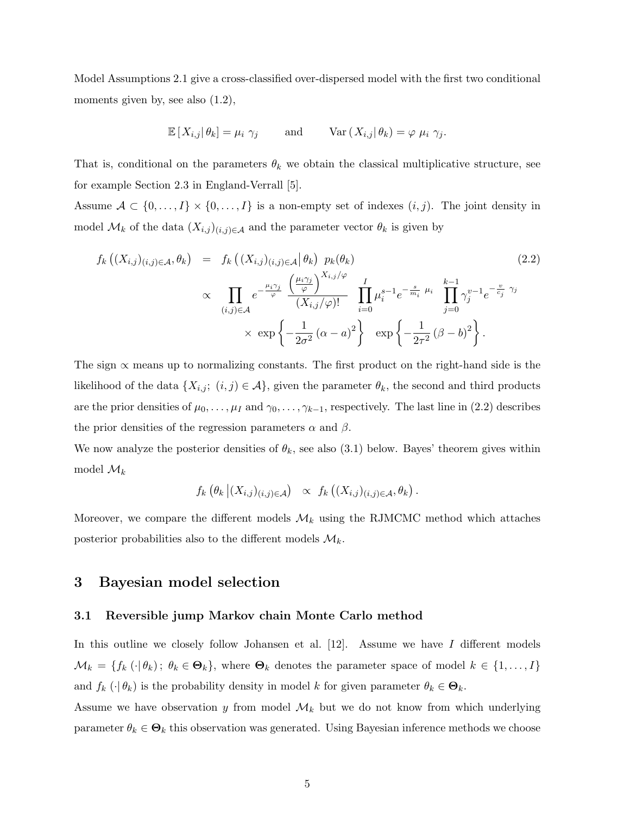Model Assumptions 2.1 give a cross-classified over-dispersed model with the first two conditional moments given by, see also  $(1.2)$ ,

$$
\mathbb{E}\left[X_{i,j}|\theta_k\right] = \mu_i \ \gamma_j \qquad \text{and} \qquad \text{Var}\left(X_{i,j}|\theta_k\right) = \varphi \ \mu_i \ \gamma_j.
$$

That is, conditional on the parameters  $\theta_k$  we obtain the classical multiplicative structure, see for example Section 2.3 in England-Verrall [5].

Assume  $\mathcal{A} \subset \{0, \ldots, I\} \times \{0, \ldots, I\}$  is a non-empty set of indexes  $(i, j)$ . The joint density in model  $\mathcal{M}_k$  of the data  $(X_{i,j})_{(i,j)\in\mathcal{A}}$  and the parameter vector  $\theta_k$  is given by

$$
f_k\left((X_{i,j})_{(i,j)\in\mathcal{A}},\theta_k\right) = f_k\left((X_{i,j})_{(i,j)\in\mathcal{A}}\middle|\theta_k\right) p_k(\theta_k)
$$
\n
$$
\propto \prod_{(i,j)\in\mathcal{A}} e^{-\frac{\mu_i\gamma_j}{\varphi}} \frac{\left(\frac{\mu_i\gamma_j}{\varphi}\right)^{X_{i,j}/\varphi}}{(X_{i,j}/\varphi)!} \prod_{i=0}^I \mu_i^{s-1} e^{-\frac{s}{m_i}\mu_i} \prod_{j=0}^{k-1} \gamma_j^{v-1} e^{-\frac{v}{c_j}\gamma_j}
$$
\n
$$
\times \exp\left\{-\frac{1}{2\sigma^2}(\alpha - a)^2\right\} \exp\left\{-\frac{1}{2\tau^2}(\beta - b)^2\right\}.
$$
\n(2.2)

The sign  $\alpha$  means up to normalizing constants. The first product on the right-hand side is the likelihood of the data  $\{X_{i,j}; (i,j) \in \mathcal{A}\}\$ , given the parameter  $\theta_k$ , the second and third products are the prior densities of  $\mu_0, \ldots, \mu_I$  and  $\gamma_0, \ldots, \gamma_{k-1}$ , respectively. The last line in (2.2) describes the prior densities of the regression parameters  $\alpha$  and  $\beta$ .

We now analyze the posterior densities of  $\theta_k$ , see also (3.1) below. Bayes' theorem gives within model  $\mathcal{M}_k$ 

$$
f_k\left(\theta_k|(X_{i,j})_{(i,j)\in\mathcal{A}}\right) \propto f_k\left((X_{i,j})_{(i,j)\in\mathcal{A}},\theta_k\right).
$$

Moreover, we compare the different models  $\mathcal{M}_k$  using the RJMCMC method which attaches posterior probabilities also to the different models  $\mathcal{M}_k$ .

## 3 Bayesian model selection

#### 3.1 Reversible jump Markov chain Monte Carlo method

In this outline we closely follow Johansen et al.  $[12]$ . Assume we have I different models  $\mathcal{M}_k = \{f_k(\cdot|\theta_k); \ \theta_k \in \mathbf{\Theta}_k\}$ , where  $\mathbf{\Theta}_k$  denotes the parameter space of model  $k \in \{1, \ldots, I\}$ and  $f_k(\cdot|\theta_k)$  is the probability density in model k for given parameter  $\theta_k \in \mathbf{\Theta}_k$ .

Assume we have observation y from model  $\mathcal{M}_k$  but we do not know from which underlying parameter  $\theta_k \in \Theta_k$  this observation was generated. Using Bayesian inference methods we choose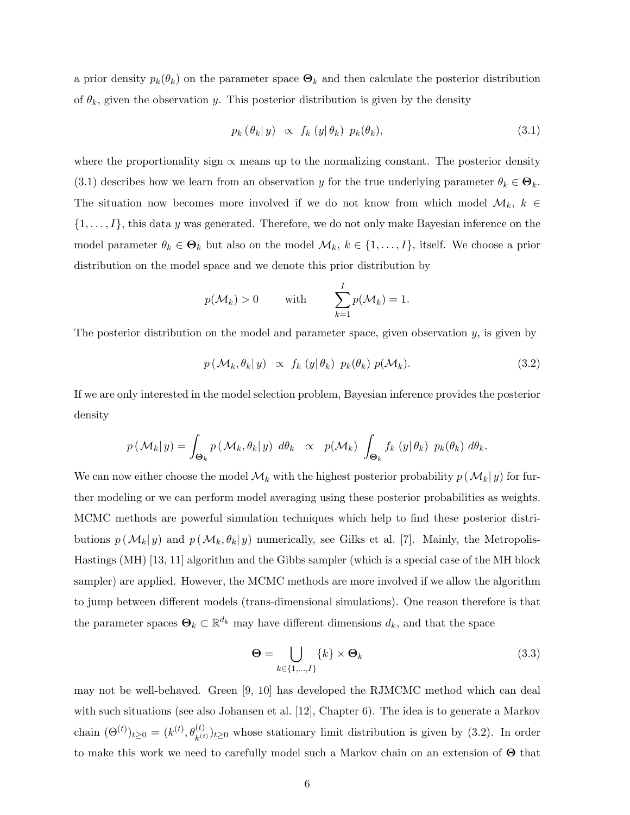a prior density  $p_k(\theta_k)$  on the parameter space  $\Theta_k$  and then calculate the posterior distribution of  $\theta_k$ , given the observation y. This posterior distribution is given by the density

$$
p_k(\theta_k|y) \propto f_k(y|\theta_k) p_k(\theta_k), \qquad (3.1)
$$

where the proportionality sign  $\propto$  means up to the normalizing constant. The posterior density (3.1) describes how we learn from an observation y for the true underlying parameter  $\theta_k \in \mathbf{\Theta}_k$ . The situation now becomes more involved if we do not know from which model  $\mathcal{M}_k$ ,  $k \in$  $\{1, \ldots, I\}$ , this data y was generated. Therefore, we do not only make Bayesian inference on the model parameter  $\theta_k \in \mathbf{\Theta}_k$  but also on the model  $\mathcal{M}_k$ ,  $k \in \{1, \ldots, I\}$ , itself. We choose a prior distribution on the model space and we denote this prior distribution by

$$
p(\mathcal{M}_k) > 0
$$
 with  $\sum_{k=1}^I p(\mathcal{M}_k) = 1.$ 

The posterior distribution on the model and parameter space, given observation  $y$ , is given by

$$
p(\mathcal{M}_k, \theta_k | y) \propto f_k(y | \theta_k) p_k(\theta_k) p(\mathcal{M}_k).
$$
 (3.2)

If we are only interested in the model selection problem, Bayesian inference provides the posterior density

$$
p(\mathcal{M}_k|y) = \int_{\Theta_k} p(\mathcal{M}_k, \theta_k|y) \, d\theta_k \propto p(\mathcal{M}_k) \, \int_{\Theta_k} f_k(y|\theta_k) \, p_k(\theta_k) \, d\theta_k.
$$

We can now either choose the model  $\mathcal{M}_k$  with the highest posterior probability  $p(\mathcal{M}_k|y)$  for further modeling or we can perform model averaging using these posterior probabilities as weights. MCMC methods are powerful simulation techniques which help to find these posterior distributions  $p(M_k|y)$  and  $p(M_k, \theta_k|y)$  numerically, see Gilks et al. [7]. Mainly, the Metropolis-Hastings (MH) [13, 11] algorithm and the Gibbs sampler (which is a special case of the MH block sampler) are applied. However, the MCMC methods are more involved if we allow the algorithm to jump between different models (trans-dimensional simulations). One reason therefore is that the parameter spaces  $\Theta_k \subset \mathbb{R}^{d_k}$  may have different dimensions  $d_k$ , and that the space

$$
\Theta = \bigcup_{k \in \{1, \dots, I\}} \{k\} \times \Theta_k \tag{3.3}
$$

may not be well-behaved. Green [9, 10] has developed the RJMCMC method which can deal with such situations (see also Johansen et al. [12], Chapter 6). The idea is to generate a Markov chain  $(\Theta^{(t)})_{t\geq 0} = (k^{(t)}, \theta_{k^{(t)}}^{(t)})_{t\geq 0}$  whose stationary limit distribution is given by (3.2). In order to make this work we need to carefully model such a Markov chain on an extension of Θ that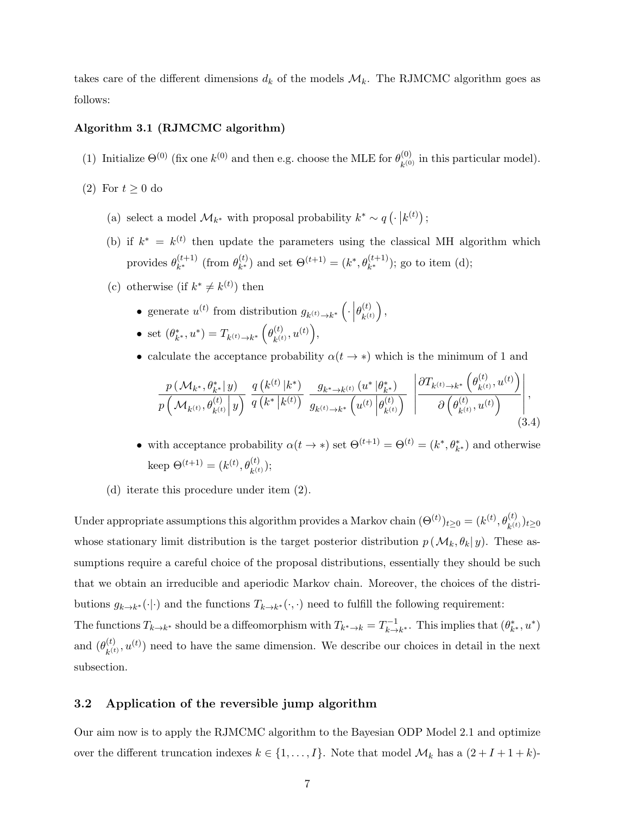takes care of the different dimensions  $d_k$  of the models  $\mathcal{M}_k$ . The RJMCMC algorithm goes as follows:

#### Algorithm 3.1 (RJMCMC algorithm)

- (1) Initialize  $\Theta^{(0)}$  (fix one  $k^{(0)}$  and then e.g. choose the MLE for  $\theta_{k(0)}^{(0)}$  $\kappa^{(0)}_{k^{(0)}}$  in this particular model).
- (2) For  $t \geq 0$  do
	- (a) select a model  $\mathcal{M}_{k^*}$  with proposal probability  $k^* \sim q\left(\cdot\vert k^{(t)}\right);$
	- (b) if  $k^* = k^{(t)}$  then update the parameters using the classical MH algorithm which provides  $\theta_{k^*}^{(t+1)}$  $_{k^*}^{(t+1)}$  (from  $\theta_{k^*}^{(t)}$  $(k)$  and set  $\Theta^{(t+1)} = (k^*, \theta_{k^*}^{(t+1)})$ ; go to item (d);
	- (c) otherwise (if  $k^* \neq k^{(t)}$ ) then
		- generate  $u^{(t)}$  from distribution  $g_{k^{(t)} \to k^*}$   $\left( \cdot \right)$  $\theta_{_{\scriptscriptstyle L(t)}}^{(t)}$  $\left(\begin{matrix} t\end{matrix}\right),\ k^{(t)}$
		- set  $(\theta_{k^*}^*, u^*) = T_{k^{(t)} \to k^*} \left( \theta_{k^{(t)}}^{(t)} \right)$  $_{k\left( t\right) }^{\left( t\right) },u^{\left( t\right) }\Big),$
		- calculate the acceptance probability  $\alpha(t \to *)$  which is the minimum of 1 and

$$
\frac{p(\mathcal{M}_{k^*}, \theta_{k^*}^* | y)}{p(\mathcal{M}_{k^{(t)}}, \theta_{k^{(t)}}^{(t)} | y)} \frac{q(k^{(t)} | k^*)}{q(k^* | k^{(t)})} \frac{g_{k^* \to k^{(t)}}(u^* | \theta_{k^*}^*)}{g_{k^{(t)} \to k^*}(u^{(t)} | \theta_{k^{(t)}}^{(t)})} \left| \frac{\partial T_{k^{(t)} \to k^*}(\theta_{k^{(t)}}^{(t)}, u^{(t)})}{\partial (\theta_{k^{(t)}}^{(t)}, u^{(t)})} \right|, \tag{3.4}
$$

- with acceptance probability  $\alpha(t \to *)$  set  $\Theta^{(t+1)} = \Theta^{(t)} = (k^*, \theta^*_{k^*})$  and otherwise keep  $\Theta^{(t+1)} = (k^{(t)}, \theta_{k^{(t)}}^{(t)});$
- (d) iterate this procedure under item (2).

Under appropriate assumptions this algorithm provides a Markov chain  $(\Theta^{(t)})_{t\geq0}=(k^{(t)},\theta^{(t)}_{k^{(t)}})_{t\geq0}$ whose stationary limit distribution is the target posterior distribution  $p(\mathcal{M}_k, \theta_k | y)$ . These assumptions require a careful choice of the proposal distributions, essentially they should be such that we obtain an irreducible and aperiodic Markov chain. Moreover, the choices of the distributions  $g_{k\to k^*}(\cdot|\cdot)$  and the functions  $T_{k\to k^*}(\cdot,\cdot)$  need to fulfill the following requirement:

The functions  $T_{k\to k^*}$  should be a diffeomorphism with  $T_{k^*\to k} = T_{k\to k}^{-1}$  $\sum_{k\to k^*}^{n-1}$ . This implies that  $(\theta_{k^*}^*, u^*)$ and  $(\theta_{h(t)}^{(t)}$  $(k)$ ,  $(u(t))$  need to have the same dimension. We describe our choices in detail in the next subsection.

#### 3.2 Application of the reversible jump algorithm

Our aim now is to apply the RJMCMC algorithm to the Bayesian ODP Model 2.1 and optimize over the different truncation indexes  $k \in \{1, ..., I\}$ . Note that model  $\mathcal{M}_k$  has a  $(2 + I + 1 + k)$ -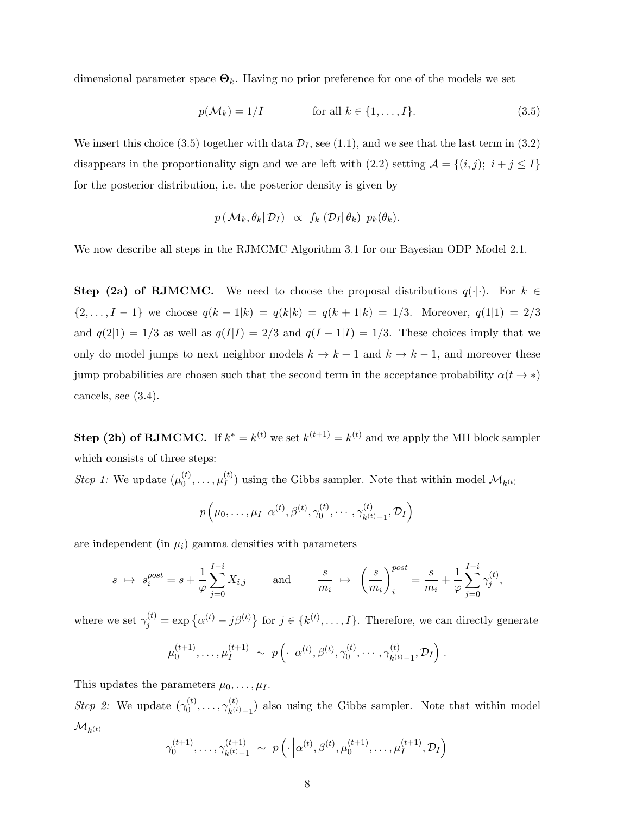dimensional parameter space  $\Theta_k$ . Having no prior preference for one of the models we set

$$
p(\mathcal{M}_k) = 1/I \qquad \text{for all } k \in \{1, \dots, I\}. \tag{3.5}
$$

We insert this choice (3.5) together with data  $\mathcal{D}_I$ , see (1.1), and we see that the last term in (3.2) disappears in the proportionality sign and we are left with (2.2) setting  $\mathcal{A} = \{(i, j); i + j \leq I\}$ for the posterior distribution, i.e. the posterior density is given by

$$
p(\mathcal{M}_k, \theta_k | \mathcal{D}_I) \propto f_k(\mathcal{D}_I | \theta_k) p_k(\theta_k).
$$

We now describe all steps in the RJMCMC Algorithm 3.1 for our Bayesian ODP Model 2.1.

Step (2a) of RJMCMC. We need to choose the proposal distributions  $q(\cdot|\cdot)$ . For  $k \in$  $\{2,\ldots,I-1\}$  we choose  $q(k-1|k) = q(k|k) = q(k+1|k) = 1/3$ . Moreover,  $q(1|1) = 2/3$ and  $q(2|1) = 1/3$  as well as  $q(I|I) = 2/3$  and  $q(I - 1|I) = 1/3$ . These choices imply that we only do model jumps to next neighbor models  $k \to k + 1$  and  $k \to k - 1$ , and moreover these jump probabilities are chosen such that the second term in the acceptance probability  $\alpha(t \to *)$ cancels, see (3.4).

**Step (2b) of RJMCMC.** If  $k^* = k^{(t)}$  we set  $k^{(t+1)} = k^{(t)}$  and we apply the MH block sampler which consists of three steps:

*Step 1:* We update  $(\mu_0^{(t)})$  $\overset{(t)}{0},\ldots,\overset{(t)}{\mu_{I}^{(t)}}$  $\mathcal{U}_I^{(t)}$  using the Gibbs sampler. Note that within model  $\mathcal{M}_{k^{(t)}}$ 

$$
p\left(\mu_0,\ldots,\mu_I\left|\alpha^{(t)},\beta^{(t)},\gamma^{(t)}_0,\ldots,\gamma^{(t)}_{k^{(t)}-1},\mathcal{D}_I\right.\right)
$$

are independent (in  $\mu_i$ ) gamma densities with parameters

$$
s \ \mapsto \ s_i^{post} = s + \frac{1}{\varphi} \sum_{j=0}^{I-i} X_{i,j} \qquad \text{and} \qquad \frac{s}{m_i} \ \mapsto \ \left(\frac{s}{m_i}\right)_i^{post} = \frac{s}{m_i} + \frac{1}{\varphi} \sum_{j=0}^{I-i} \gamma_j^{(t)},
$$

where we set  $\gamma_j^{(t)} = \exp\{\alpha^{(t)} - j\beta^{(t)}\}\$  for  $j \in \{k^{(t)}, \ldots, I\}$ . Therefore, we can directly generate

$$
\mu_0^{(t+1)}, \ldots, \mu_I^{(t+1)} \sim p\left(\cdot\left|\alpha^{(t)}, \beta^{(t)}, \gamma_0^{(t)}, \ldots, \gamma_{k^{(t)}-1}^{(t)}, \mathcal{D}_I\right.\right).
$$

This updates the parameters  $\mu_0, \ldots, \mu_I$ .

*Step 2:* We update  $(\gamma_0^{(t)})$  $\gamma^{(t)}_0,\ldots,\gamma^{(t)}_{k^{(t)}}$  $\binom{t}{k(t)}$  also using the Gibbs sampler. Note that within model  $\mathcal{M}_{k^{(t)}}$ 

$$
\gamma_0^{(t+1)}, \ldots, \gamma_{k^{(t)}-1}^{(t+1)} \sim p\left(\cdot\left|\alpha^{(t)}, \beta^{(t)}, \mu_0^{(t+1)}, \ldots, \mu_I^{(t+1)}, \mathcal{D}_I\right)\right)
$$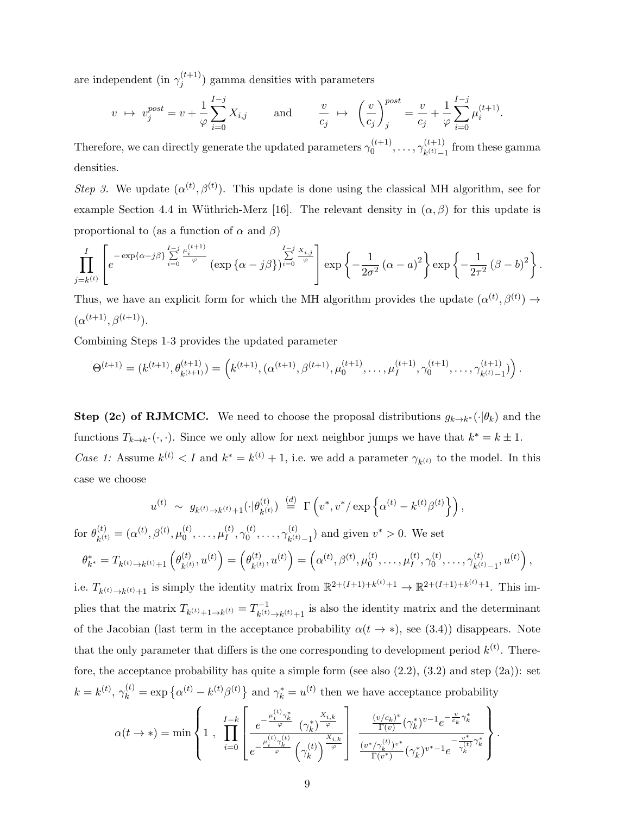are independent (in  $\gamma_i^{(t+1)}$  $j_j^{(l+1)}$  gamma densities with parameters

$$
v \rightarrow v_j^{post} = v + \frac{1}{\varphi} \sum_{i=0}^{I-j} X_{i,j}
$$
 and  $\frac{v}{c_j} \rightarrow \left(\frac{v}{c_j}\right)_j^{post} = \frac{v}{c_j} + \frac{1}{\varphi} \sum_{i=0}^{I-j} \mu_i^{(t+1)}$ .

Therefore, we can directly generate the updated parameters  $\gamma_0^{(t+1)}$  $\gamma_0^{(t+1)}, \ldots, \gamma_{k^{(t)}-}^{(t+1)}$  $\binom{(t+1)}{k(t)-1}$  from these gamma densities.

Step 3. We update  $(\alpha^{(t)}, \beta^{(t)})$ . This update is done using the classical MH algorithm, see for example Section 4.4 in Wüthrich-Merz [16]. The relevant density in  $(\alpha, \beta)$  for this update is proportional to (as a function of  $\alpha$  and  $\beta$ )

$$
\prod_{j=k^{(t)}}^{I} \left[ e^{-\exp\{\alpha-j\beta\}} \sum_{i=0}^{I-j} \frac{\mu_i^{(t+1)}}{\varphi} \left( \exp\{\alpha-j\beta\} \right) \right] \stackrel{I-j}{\stackrel{\sim}{\sim}} \frac{x_{i,j}}{\varphi} \right] \exp\left\{-\frac{1}{2\sigma^2} (\alpha-a)^2\right\} \exp\left\{-\frac{1}{2\tau^2} (\beta-b)^2\right\}.
$$

Thus, we have an explicit form for which the MH algorithm provides the update  $(\alpha^{(t)}, \beta^{(t)}) \rightarrow$  $(\alpha^{(t+1)}, \beta^{(t+1)})$ .

Combining Steps 1-3 provides the updated parameter

$$
\Theta^{(t+1)} = (k^{(t+1)}, \theta_{k^{(t+1)}}^{(t+1)}) = \left( k^{(t+1)}, (\alpha^{(t+1)}, \beta^{(t+1)}, \mu_0^{(t+1)}, \dots, \mu_I^{(t+1)}, \gamma_0^{(t+1)}, \dots, \gamma_{k^{(t)}-1}^{(t+1)}) \right).
$$

**Step (2c) of RJMCMC.** We need to choose the proposal distributions  $g_{k\to k^*}(\cdot|\theta_k)$  and the functions  $T_{k\to k^*}(\cdot, \cdot)$ . Since we only allow for next neighbor jumps we have that  $k^* = k \pm 1$ . Case 1: Assume  $k^{(t)} < I$  and  $k^* = k^{(t)} + 1$ , i.e. we add a parameter  $\gamma_{k^{(t)}}$  to the model. In this case we choose

$$
u^{(t)} \sim g_{k^{(t)} \to k^{(t)} + 1}(\cdot | \theta_{k^{(t)}}^{(t)}) \stackrel{(d)}{=} \Gamma\left(v^*, v^*/\exp\left\{\alpha^{(t)} - k^{(t)}\beta^{(t)}\right\}\right),
$$

for  $\theta_{l(t)}^{(t)}$  $\mathbf{h}_{k^{(t)}}^{(t)} = (\alpha^{(t)}, \beta^{(t)}, \mu_0^{(t)})$  $\stackrel{(t)}{0},\ldots,\mu_I^{(t)}$  $_I^{(t)}, \gamma_0^{(t)}$  $\gamma^{(t)}_0,\ldots,\gamma^{(t)}_{k^{(t)}}$  $(k)$ <sub>k</sub> $(t)$ <sub>1</sub>) and given  $v^* > 0$ . We set

$$
\theta_{k^*}^* = T_{k^{(t)} \to k^{(t)} + 1} \left( \theta_{k^{(t)}}^{(t)}, u^{(t)} \right) = \left( \theta_{k^{(t)}}^{(t)}, u^{(t)} \right) = \left( \alpha^{(t)}, \beta^{(t)}, \mu_0^{(t)}, \dots, \mu_I^{(t)}, \gamma_0^{(t)}, \dots, \gamma_{k^{(t)} - 1}^{(t)}, u^{(t)} \right),
$$

i.e.  $T_{k^{(t)}\to k^{(t)}+1}$  is simply the identity matrix from  $\mathbb{R}^{2+(I+1)+k^{(t)}+1} \to \mathbb{R}^{2+(I+1)+k^{(t)}+1}$ . This implies that the matrix  $T_{k^{(t)}+1\to k^{(t)}} = T_{k^{(t)}}^{-1}$  $\sum_{k=1}^{n-1} k(t) \rightarrow k(t) + 1$  is also the identity matrix and the determinant of the Jacobian (last term in the acceptance probability  $\alpha(t \to *)$ , see (3.4)) disappears. Note that the only parameter that differs is the one corresponding to development period  $k^{(t)}$ . Therefore, the acceptance probability has quite a simple form (see also  $(2.2)$ ,  $(3.2)$  and step  $(2a)$ ): set  $k = k^{(t)}$ ,  $\gamma_k^{(t)} = \exp\{\alpha^{(t)} - k^{(t)}\beta^{(t)}\}$  and  $\gamma_k^* = u^{(t)}$  then we have acceptance probability

$$
\alpha(t \rightarrow *) = \min \left\{ 1 \; , \; \prod_{i=0}^{I-k} \left[ \frac{e^{-\frac{\mu_i^{(t)} \gamma_k^*}{\varphi}} \; \left(\gamma_k^*\right)^{\frac{X_{i,k}}{\varphi}}}{e^{-\frac{\mu_i^{(t)} \gamma_k^*(t)}{\varphi}} \left(\gamma_k^{(t)}\right)^{\frac{X_{i,k}}{\varphi}}}\right] \; \frac{\frac{(v/c_k)^v}{\Gamma(v)} (\gamma_k^*)^{v-1} e^{-\frac{v}{c_k} \gamma_k^*}}{\frac{(v^*/\gamma_k^{(t)})^{v^*}}{\Gamma(v^*)} (\gamma_k^*)^{v^*-1} e^{-\frac{v^*}{\gamma_k^{(t)}} \gamma_k^*}} \right\}.
$$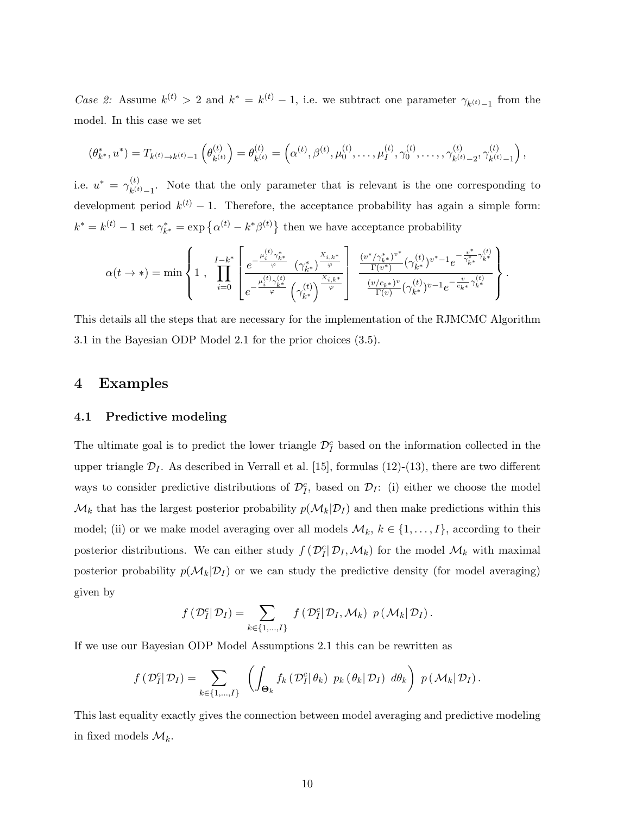Case 2: Assume  $k^{(t)} > 2$  and  $k^* = k^{(t)} - 1$ , i.e. we subtract one parameter  $\gamma_{k^{(t)}-1}$  from the model. In this case we set

$$
(\theta_{k^*}^*, u^*) = T_{k^{(t)} \to k^{(t)} - 1} \left( \theta_{k^{(t)}}^{(t)} \right) = \theta_{k^{(t)}}^{(t)} = \left( \alpha^{(t)}, \beta^{(t)}, \mu_0^{(t)}, \dots, \mu_I^{(t)}, \gamma_0^{(t)}, \dots, \gamma_{k^{(t)} - 2}^{(t)}, \gamma_{k^{(t)} - 1}^{(t)} \right),
$$

i.e.  $u^* = \gamma_{k}^{(t)}$  $\kappa^{(t)}_{k(t)-1}$ . Note that the only parameter that is relevant is the one corresponding to development period  $k^{(t)} - 1$ . Therefore, the acceptance probability has again a simple form:  $k^* = k^{(t)} - 1$  set  $\gamma_{k^*}^* = \exp\left\{\alpha^{(t)} - k^*\beta^{(t)}\right\}$  then we have acceptance probability

$$
\alpha(t \rightarrow *) = \min \left\{ 1 \; , \; \prod_{i=0}^{I-k^*} \left[ \frac{e^{-\frac{\mu_i^{(t)} \gamma^*_{k^*}}{\varphi}}}{e^{-\frac{\mu_i^{(t)} \gamma^*_{k^*}}{\varphi}} \left( \gamma^*_{k^*} \right)^{\frac{X_{i,k^*}}{\varphi}}}{\left( \gamma^*_{k^*} \right)^{\frac{X_{i,k^*}}{\varphi}}} \right] \; \frac{\frac{(v^*/\gamma^*_{k^*})^{v^*}}{\Gamma(v^*)} (\gamma^{{(t)}}_{k^*})^{v^*-1} e^{-\frac{v^*}{\gamma^*_{k^*}} \gamma^{{(t)}}_{k^*}}}{\frac{(v/c_{k^*})^v}{\Gamma(v)} (\gamma^{{(t)}}_{k^*})^{v-1} e^{-\frac{v}{c_{k^*}} \gamma^{{(t)}}_{k^*}}}\right\}.
$$

This details all the steps that are necessary for the implementation of the RJMCMC Algorithm 3.1 in the Bayesian ODP Model 2.1 for the prior choices (3.5).

## 4 Examples

#### 4.1 Predictive modeling

The ultimate goal is to predict the lower triangle  $\mathcal{D}_I^c$  based on the information collected in the upper triangle  $\mathcal{D}_I$ . As described in Verrall et al. [15], formulas (12)-(13), there are two different ways to consider predictive distributions of  $\mathcal{D}_I^c$ , based on  $\mathcal{D}_I$ : (i) either we choose the model  $\mathcal{M}_k$  that has the largest posterior probability  $p(\mathcal{M}_k|\mathcal{D}_I)$  and then make predictions within this model; (ii) or we make model averaging over all models  $\mathcal{M}_k$ ,  $k \in \{1, \ldots, I\}$ , according to their posterior distributions. We can either study  $f(\mathcal{D}_I^c|\mathcal{D}_I,\mathcal{M}_k)$  for the model  $\mathcal{M}_k$  with maximal posterior probability  $p(\mathcal{M}_k|\mathcal{D}_I)$  or we can study the predictive density (for model averaging) given by

$$
f(\mathcal{D}_I^c|\mathcal{D}_I)=\sum_{k\in\{1,\ldots,I\}} f(\mathcal{D}_I^c|\mathcal{D}_I,\mathcal{M}_k) p(\mathcal{M}_k|\mathcal{D}_I).
$$

If we use our Bayesian ODP Model Assumptions 2.1 this can be rewritten as

$$
f(\mathcal{D}_I^c|\mathcal{D}_I)=\sum_{k\in\{1,\ldots,I\}}\left(\int_{\Theta_k}f_k(\mathcal{D}_I^c|\theta_k)\ p_k(\theta_k|\mathcal{D}_I)\ d\theta_k\right)\ p(\mathcal{M}_k|\mathcal{D}_I).
$$

This last equality exactly gives the connection between model averaging and predictive modeling in fixed models  $\mathcal{M}_k$ .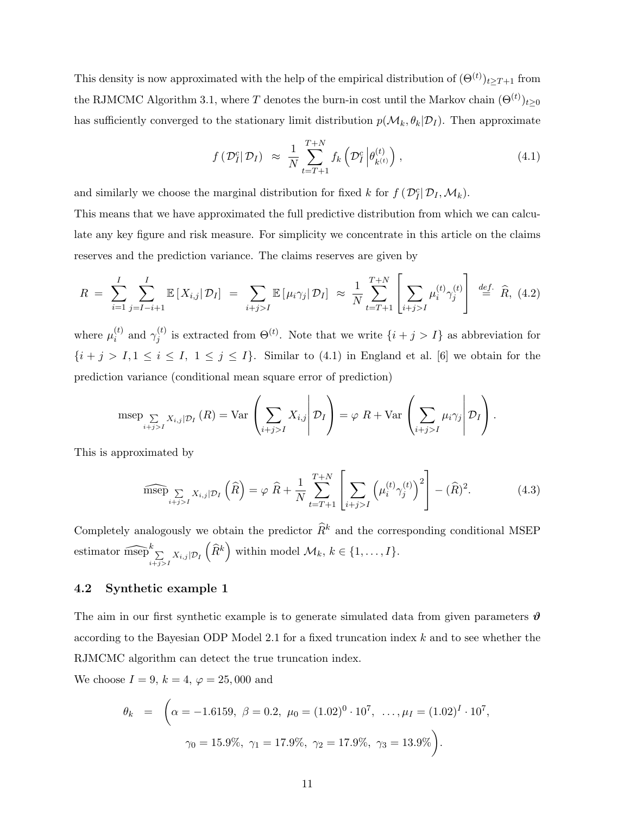This density is now approximated with the help of the empirical distribution of  $(\Theta^{(t)})_{t\geq T+1}$  from the RJMCMC Algorithm 3.1, where T denotes the burn-in cost until the Markov chain  $(\Theta^{(t)})_{t\geq 0}$ has sufficiently converged to the stationary limit distribution  $p(\mathcal{M}_k, \theta_k | \mathcal{D}_I)$ . Then approximate

$$
f\left(\mathcal{D}_I^c|\mathcal{D}_I\right) \approx \frac{1}{N} \sum_{t=T+1}^{T+N} f_k\left(\mathcal{D}_I^c \middle| \theta_{k^{(t)}}^{(t)}\right), \qquad (4.1)
$$

and similarly we choose the marginal distribution for fixed k for  $f(\mathcal{D}_I^c|\mathcal{D}_I,\mathcal{M}_k)$ .

This means that we have approximated the full predictive distribution from which we can calculate any key figure and risk measure. For simplicity we concentrate in this article on the claims reserves and the prediction variance. The claims reserves are given by

$$
R = \sum_{i=1}^{I} \sum_{j=I-i+1}^{I} \mathbb{E}\left[X_{i,j} | \mathcal{D}_{I}\right] = \sum_{i+j>I} \mathbb{E}\left[\mu_{i} \gamma_{j} | \mathcal{D}_{I}\right] \approx \frac{1}{N} \sum_{t=T+1}^{T+N} \left[\sum_{i+j>I} \mu_{i}^{(t)} \gamma_{j}^{(t)}\right] \stackrel{def.}{=} \widehat{R}, (4.2)
$$

where  $\mu_i^{(t)}$  $i \choose i$  and  $\gamma_j^{(t)}$  $j_j^{(t)}$  is extracted from  $\Theta^{(t)}$ . Note that we write  $\{i + j > I\}$  as abbreviation for  $\{i + j > I, 1 \le i \le I, 1 \le j \le I\}$ . Similar to (4.1) in England et al. [6] we obtain for the prediction variance (conditional mean square error of prediction)

$$
\operatorname{mse}_{\sum_{i+j>I} X_{i,j} | \mathcal{D}_I} (R) = \operatorname{Var} \left( \sum_{i+j>I} X_{i,j} \middle| \mathcal{D}_I \right) = \varphi \left( R + \operatorname{Var} \left( \sum_{i+j>I} \mu_i \gamma_j \middle| \mathcal{D}_I \right) \right).
$$

This is approximated by

$$
\widehat{\text{msep}} \sum_{i+j>I} X_{i,j} | \mathcal{D}_I \left( \widehat{R} \right) = \varphi \ \widehat{R} + \frac{1}{N} \sum_{t=T+1}^{T+N} \left[ \sum_{i+j>I} \left( \mu_i^{(t)} \gamma_j^{(t)} \right)^2 \right] - (\widehat{R})^2. \tag{4.3}
$$

Completely analogously we obtain the predictor  $\widehat{R}^k$  and the corresponding conditional MSEP estimator  $\widehat{\text{msep}}_{\substack{\sum \mu \ j \geq I}}^k X_{i,j} | \mathcal{D}_I \left( \widehat{R}^k \right)$  within model  $\mathcal{M}_k, k \in \{1, \ldots, I\}$ .

### 4.2 Synthetic example 1

The aim in our first synthetic example is to generate simulated data from given parameters  $\vartheta$ according to the Bayesian ODP Model 2.1 for a fixed truncation index k and to see whether the RJMCMC algorithm can detect the true truncation index.

We choose  $I = 9, k = 4, \varphi = 25,000$  and

$$
\theta_k = \left( \alpha = -1.6159, \ \beta = 0.2, \ \mu_0 = (1.02)^0 \cdot 10^7, \ \dots, \mu_I = (1.02)^I \cdot 10^7, \ \gamma_0 = 15.9\%, \ \gamma_1 = 17.9\%, \ \gamma_2 = 17.9\%, \ \gamma_3 = 13.9\% \right).
$$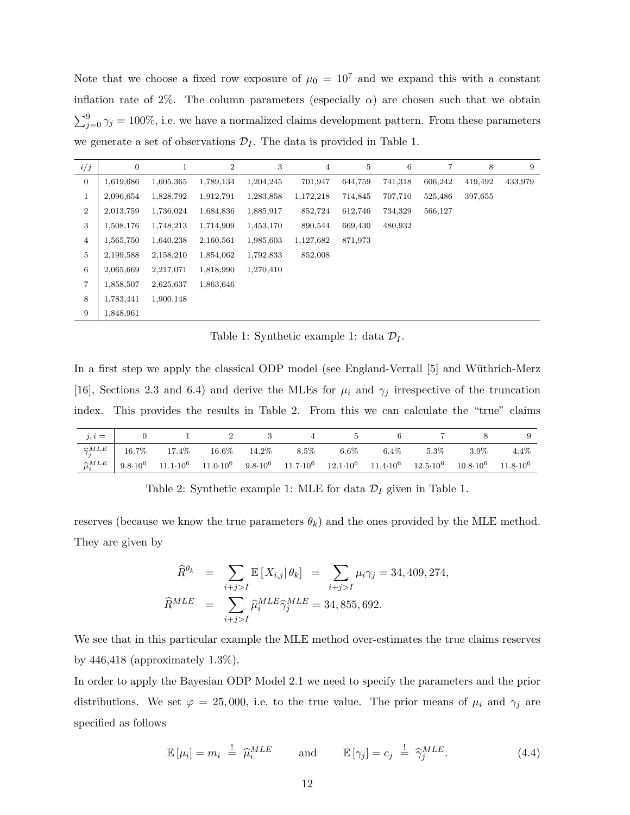Note that we choose a fixed row exposure of  $\mu_0 = 10^7$  and we expand this with a constant inflation rate of 2%. The column parameters (especially  $\alpha$ ) are chosen such that we obtain  $\sum_{j=0}^{9} \gamma_j = 100\%$ , i.e. we have a normalized claims development pattern. From these parameters we generate a set of observations  $\mathcal{D}_I$ . The data is provided in Table 1.

| i/j              | $\overline{0}$ | 1         | $\overline{2}$ | 3         | $\overline{4}$ | 5       | 6       | 7       | 8       | 9       |
|------------------|----------------|-----------|----------------|-----------|----------------|---------|---------|---------|---------|---------|
| $\boldsymbol{0}$ | 1,619,686      | 1,605,365 | 1,789,134      | 1,204,245 | 701,947        | 644,759 | 741,318 | 606,242 | 419,492 | 433,979 |
| 1                | 2,096,654      | 1,828,792 | 1,912,791      | 1,283,858 | 1,172,218      | 714,845 | 707,710 | 525,486 | 397,655 |         |
| $\overline{2}$   | 2,013,759      | 1,736,024 | 1,684,836      | 1,885,917 | 852,724        | 612,746 | 734,329 | 566,127 |         |         |
| 3                | 1,508,176      | 1,748,213 | 1,714,909      | 1,453,170 | 890,544        | 669,430 | 480,932 |         |         |         |
| $\overline{4}$   | 1,565,750      | 1,640,238 | 2,160,561      | 1,985,603 | 1,127,682      | 871,973 |         |         |         |         |
| 5                | 2,199,588      | 2,158,210 | 1,854,062      | 1,792,833 | 852,008        |         |         |         |         |         |
| $\,6\,$          | 2,065,669      | 2,217,071 | 1,818,990      | 1,270,410 |                |         |         |         |         |         |
| $\overline{7}$   | 1,858,507      | 2,625,637 | 1,863,646      |           |                |         |         |         |         |         |
| 8                | 1,783,441      | 1,900,148 |                |           |                |         |         |         |         |         |
| 9                | 1,848,961      |           |                |           |                |         |         |         |         |         |

Table 1: Synthetic example 1: data  $\mathcal{D}_I$ .

In a first step we apply the classical ODP model (see England-Verrall [5] and Wüthrich-Merz [16], Sections 2.3 and 6.4) and derive the MLEs for  $\mu_i$  and  $\gamma_j$  irrespective of the truncation index. This provides the results in Table 2. From this we can calculate the "true" claims

|  |  |  | $j, i =$ 0 1 2 3 4 5 6 7 8                                                                                                                                                                                                              |  |  |
|--|--|--|-----------------------------------------------------------------------------------------------------------------------------------------------------------------------------------------------------------------------------------------|--|--|
|  |  |  | $\boxed{\widehat{\gamma}_i^{MLE}$ 16.7% 17.4% 16.6% 14.2% 8.5% 6.6% 6.4% 5.3% 3.9% 4.4%                                                                                                                                                 |  |  |
|  |  |  | $\widehat{\mu}_i^{MLE}$ 9.8-10 <sup>6</sup> 11.1-10 <sup>6</sup> 11.0-10 <sup>6</sup> 9.8-10 <sup>6</sup> 11.7-10 <sup>6</sup> 12.1-10 <sup>6</sup> 11.4-10 <sup>6</sup> 12.5-10 <sup>6</sup> 10.8-10 <sup>6</sup> 11.8-10 <sup>6</sup> |  |  |

Table 2: Synthetic example 1: MLE for data  $\mathcal{D}_I$  given in Table 1.

reserves (because we know the true parameters  $\theta_k$ ) and the ones provided by the MLE method. They are given by

$$
\widehat{R}^{\theta_k} = \sum_{i+j>I} \mathbb{E}[X_{i,j} | \theta_k] = \sum_{i+j>I} \mu_i \gamma_j = 34,409,274,
$$
  

$$
\widehat{R}^{MLE} = \sum_{i+j>I} \widehat{\mu}_i^{MLE} \widehat{\gamma}_j^{MLE} = 34,855,692.
$$

We see that in this particular example the MLE method over-estimates the true claims reserves by  $446,418$  (approximately  $1.3\%$ ).

In order to apply the Bayesian ODP Model 2.1 we need to specify the parameters and the prior distributions. We set  $\varphi = 25,000$ , i.e. to the true value. The prior means of  $\mu_i$  and  $\gamma_j$  are specified as follows

$$
\mathbb{E}[\mu_i] = m_i \stackrel{!}{=} \widehat{\mu}_i^{MLE} \quad \text{and} \quad \mathbb{E}[\gamma_j] = c_j \stackrel{!}{=} \widehat{\gamma}_j^{MLE}.
$$
 (4.4)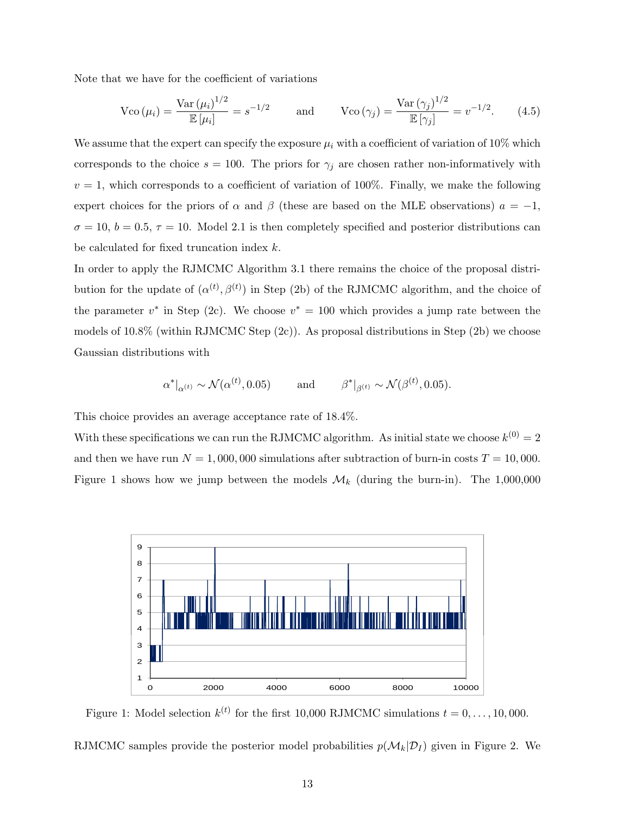Note that we have for the coefficient of variations

$$
\text{Vco}(\mu_i) = \frac{\text{Var}(\mu_i)^{1/2}}{\mathbb{E}[\mu_i]} = s^{-1/2} \qquad \text{and} \qquad \text{Vco}(\gamma_j) = \frac{\text{Var}(\gamma_j)^{1/2}}{\mathbb{E}[\gamma_j]} = v^{-1/2}. \tag{4.5}
$$

We assume that the expert can specify the exposure  $\mu_i$  with a coefficient of variation of 10% which corresponds to the choice  $s = 100$ . The priors for  $\gamma_j$  are chosen rather non-informatively with  $v = 1$ , which corresponds to a coefficient of variation of 100%. Finally, we make the following expert choices for the priors of  $\alpha$  and  $\beta$  (these are based on the MLE observations)  $a = -1$ ,  $\sigma = 10, b = 0.5, \tau = 10$ . Model 2.1 is then completely specified and posterior distributions can be calculated for fixed truncation index k.

In order to apply the RJMCMC Algorithm 3.1 there remains the choice of the proposal distribution for the update of  $(\alpha^{(t)}, \beta^{(t)})$  in Step (2b) of the RJMCMC algorithm, and the choice of the parameter  $v^*$  in Step (2c). We choose  $v^* = 100$  which provides a jump rate between the models of  $10.8\%$  (within RJMCMC Step  $(2c)$ ). As proposal distributions in Step  $(2b)$  we choose Gaussian distributions with

$$
\alpha^*|_{\alpha^{(t)}} \sim \mathcal{N}(\alpha^{(t)}, 0.05)
$$
 and  $\beta^*|_{\beta^{(t)}} \sim \mathcal{N}(\beta^{(t)}, 0.05)$ .

This choice provides an average acceptance rate of 18.4%.

With these specifications we can run the RJMCMC algorithm. As initial state we choose  $k^{(0)} = 2$ and then we have run  $N = 1,000,000$  simulations after subtraction of burn-in costs  $T = 10,000$ . Figure 1 shows how we jump between the models  $\mathcal{M}_k$  (during the burn-in). The 1,000,000



Figure 1: Model selection  $k^{(t)}$  for the first 10,000 RJMCMC simulations  $t = 0, \ldots, 10,000$ .

RJMCMC samples provide the posterior model probabilities  $p(\mathcal{M}_k|\mathcal{D}_I)$  given in Figure 2. We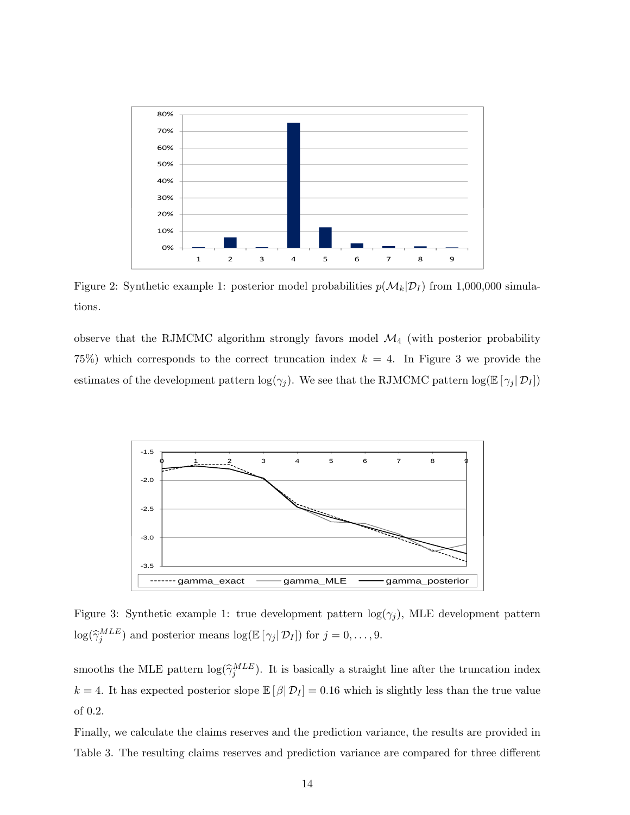

Figure 2: Synthetic example 1: posterior model probabilities  $p(\mathcal{M}_k|\mathcal{D}_I)$  from 1,000,000 simulations.

observe that the RJMCMC algorithm strongly favors model  $\mathcal{M}_4$  (with posterior probability 75%) which corresponds to the correct truncation index  $k = 4$ . In Figure 3 we provide the estimates of the development pattern  $\log(\gamma_j)$ . We see that the RJMCMC pattern  $\log(\mathbb{E}[\gamma_j|\mathcal{D}_I])$ 



Figure 3: Synthetic example 1: true development pattern  $log(\gamma_j)$ , MLE development pattern  $\log(\hat{\gamma}_j^{MLE})$  and posterior means  $\log(\mathbb{E}[\gamma_j | \mathcal{D}_I])$  for  $j = 0, \ldots, 9$ .

smooths the MLE pattern  $\log(\hat{\gamma}_j^{MLE})$ . It is basically a straight line after the truncation index k = 4. It has expected posterior slope  $\mathbb{E}[\beta|\mathcal{D}_I] = 0.16$  which is slightly less than the true value of 0.2.

Finally, we calculate the claims reserves and the prediction variance, the results are provided in Table 3. The resulting claims reserves and prediction variance are compared for three different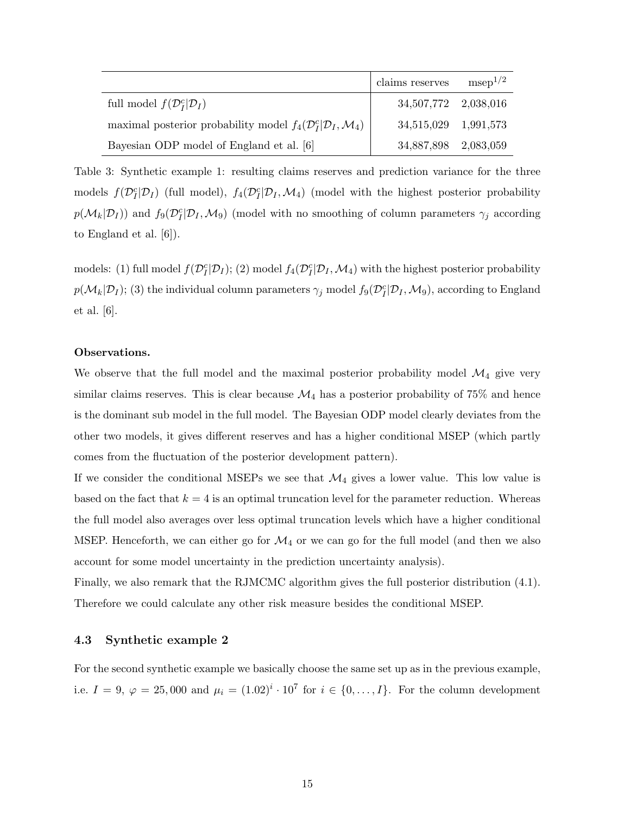|                                                                                         | claims reserves      | $msep^{1/2}$ |
|-----------------------------------------------------------------------------------------|----------------------|--------------|
| full model $f(\mathcal{D}_I^c \mathcal{D}_I)$                                           | 34,507,772 2,038,016 |              |
| maximal posterior probability model $f_4(\mathcal{D}_I^c \mathcal{D}_I, \mathcal{M}_4)$ | 34,515,029 1,991,573 |              |
| Bayesian ODP model of England et al. [6]                                                | 34,887,898 2,083,059 |              |

Table 3: Synthetic example 1: resulting claims reserves and prediction variance for the three models  $f(\mathcal{D}_I^c|\mathcal{D}_I)$  (full model),  $f_4(\mathcal{D}_I^c|\mathcal{D}_I,\mathcal{M}_4)$  (model with the highest posterior probability  $p(M_k|D_I)$  and  $f_9(\mathcal{D}_I^c|D_I, \mathcal{M}_9)$  (model with no smoothing of column parameters  $\gamma_j$  according to England et al. [6]).

models: (1) full model  $f(\mathcal{D}_I^c|\mathcal{D}_I)$ ; (2) model  $f_4(\mathcal{D}_I^c|\mathcal{D}_I, \mathcal{M}_4)$  with the highest posterior probability  $p(M_k|D_I);$  (3) the individual column parameters  $\gamma_j$  model  $f_9(\mathcal{D}_I^c|\mathcal{D}_I,\mathcal{M}_9)$ , according to England et al. [6].

#### Observations.

We observe that the full model and the maximal posterior probability model  $\mathcal{M}_4$  give very similar claims reserves. This is clear because  $\mathcal{M}_4$  has a posterior probability of 75% and hence is the dominant sub model in the full model. The Bayesian ODP model clearly deviates from the other two models, it gives different reserves and has a higher conditional MSEP (which partly comes from the fluctuation of the posterior development pattern).

If we consider the conditional MSEPs we see that  $\mathcal{M}_4$  gives a lower value. This low value is based on the fact that  $k = 4$  is an optimal truncation level for the parameter reduction. Whereas the full model also averages over less optimal truncation levels which have a higher conditional MSEP. Henceforth, we can either go for  $\mathcal{M}_4$  or we can go for the full model (and then we also account for some model uncertainty in the prediction uncertainty analysis).

Finally, we also remark that the RJMCMC algorithm gives the full posterior distribution (4.1). Therefore we could calculate any other risk measure besides the conditional MSEP.

#### 4.3 Synthetic example 2

For the second synthetic example we basically choose the same set up as in the previous example, i.e.  $I = 9, \varphi = 25,000$  and  $\mu_i = (1.02)^i \cdot 10^7$  for  $i \in \{0,\ldots,I\}$ . For the column development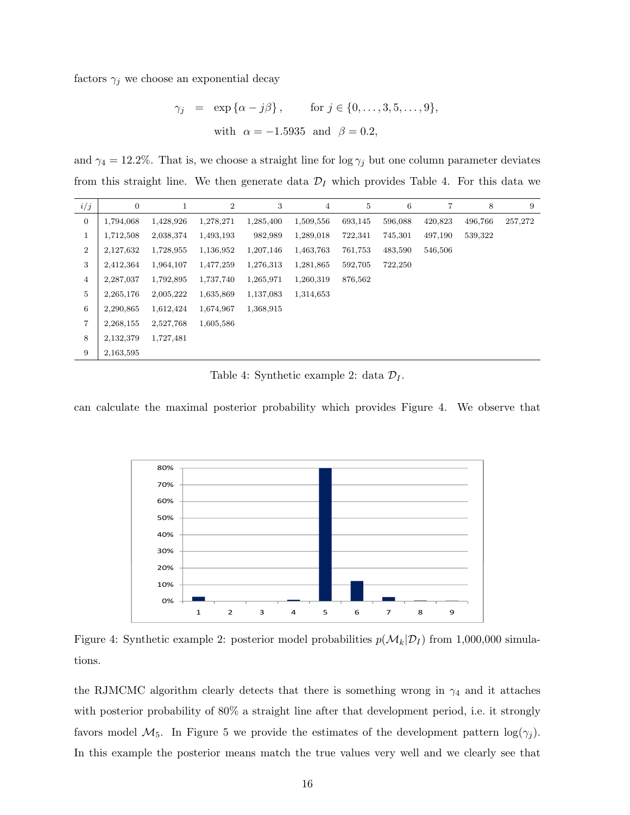factors  $\gamma_j$  we choose an exponential decay

$$
\gamma_j = \exp\{\alpha - j\beta\}, \quad \text{for } j \in \{0, \dots, 3, 5, \dots, 9\},
$$
  
with  $\alpha = -1.5935$  and  $\beta = 0.2$ ,

and  $\gamma_4 = 12.2\%$ . That is, we choose a straight line for log  $\gamma_j$  but one column parameter deviates from this straight line. We then generate data  $\mathcal{D}_I$  which provides Table 4. For this data we

| i/j              | $\boldsymbol{0}$ |           | 2         | 3         | $\overline{4}$ | 5       | 6       | 7       | 8       | 9       |
|------------------|------------------|-----------|-----------|-----------|----------------|---------|---------|---------|---------|---------|
| $\boldsymbol{0}$ | 1,794,068        | 1,428,926 | 1,278,271 | 1,285,400 | 1,509,556      | 693,145 | 596,088 | 420,823 | 496,766 | 257,272 |
| 1                | 1,712,508        | 2,038,374 | 1,493,193 | 982,989   | 1,289,018      | 722,341 | 745,301 | 497,190 | 539,322 |         |
| $\overline{2}$   | 2,127,632        | 1,728,955 | 1,136,952 | 1,207,146 | 1,463,763      | 761,753 | 483,590 | 546,506 |         |         |
| 3                | 2,412,364        | 1,964,107 | 1,477,259 | 1,276,313 | 1,281,865      | 592,705 | 722,250 |         |         |         |
| 4                | 2,287,037        | 1,792,895 | 1,737,740 | 1,265,971 | 1,260,319      | 876,562 |         |         |         |         |
| 5                | 2, 265, 176      | 2,005,222 | 1,635,869 | 1,137,083 | 1,314,653      |         |         |         |         |         |
| 6                | 2,290,865        | 1,612,424 | 1,674,967 | 1,368,915 |                |         |         |         |         |         |
| 7                | 2,268,155        | 2,527,768 | 1,605,586 |           |                |         |         |         |         |         |
| 8                | 2,132,379        | 1,727,481 |           |           |                |         |         |         |         |         |
| 9                | 2,163,595        |           |           |           |                |         |         |         |         |         |

Table 4: Synthetic example 2: data  $\mathcal{D}_I$ .

can calculate the maximal posterior probability which provides Figure 4. We observe that



Figure 4: Synthetic example 2: posterior model probabilities  $p(\mathcal{M}_k|\mathcal{D}_I)$  from 1,000,000 simulations.

the RJMCMC algorithm clearly detects that there is something wrong in  $\gamma_4$  and it attaches with posterior probability of 80% a straight line after that development period, i.e. it strongly favors model  $\mathcal{M}_5$ . In Figure 5 we provide the estimates of the development pattern  $\log(\gamma_j)$ . In this example the posterior means match the true values very well and we clearly see that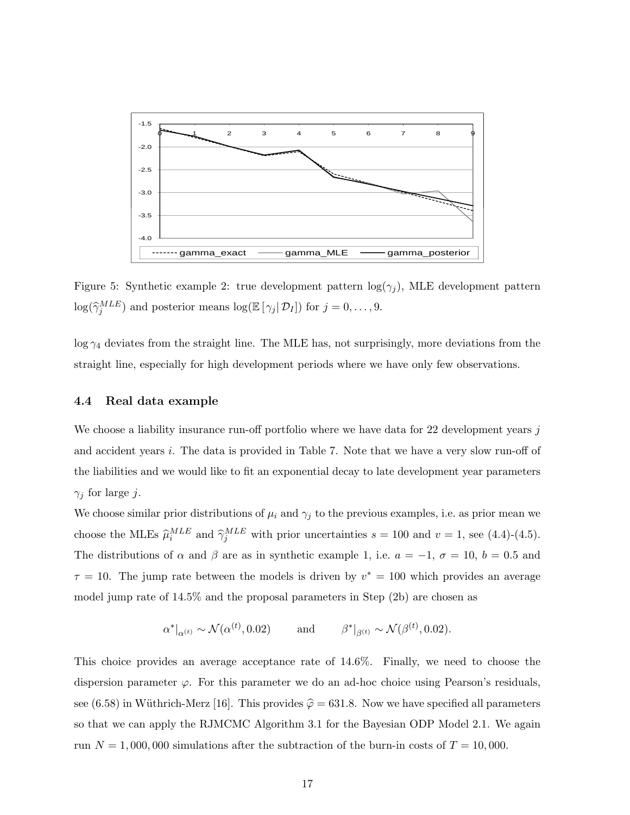

Figure 5: Synthetic example 2: true development pattern  $log(\gamma_j)$ , MLE development pattern  $\log(\hat{\gamma}_j^{MLE})$  and posterior means  $\log(\mathbb{E}[\gamma_j | \mathcal{D}_I])$  for  $j = 0, \ldots, 9$ .

 $\log \gamma_4$  deviates from the straight line. The MLE has, not surprisingly, more deviations from the straight line, especially for high development periods where we have only few observations.

#### 4.4 Real data example

We choose a liability insurance run-off portfolio where we have data for 22 development years j and accident years i. The data is provided in Table 7. Note that we have a very slow run-off of the liabilities and we would like to fit an exponential decay to late development year parameters  $\gamma_i$  for large j.

We choose similar prior distributions of  $\mu_i$  and  $\gamma_j$  to the previous examples, i.e. as prior mean we choose the MLEs  $\hat{\mu}_i^{MLE}$  and  $\hat{\gamma}_j^{MLE}$  with prior uncertainties  $s = 100$  and  $v = 1$ , see (4.4)-(4.5). The distributions of  $\alpha$  and  $\beta$  are as in synthetic example 1, i.e.  $a = -1, \sigma = 10, b = 0.5$  and  $\tau = 10$ . The jump rate between the models is driven by  $v^* = 100$  which provides an average model jump rate of 14.5% and the proposal parameters in Step (2b) are chosen as

$$
\alpha^*|_{\alpha^{(t)}} \sim \mathcal{N}(\alpha^{(t)}, 0.02) \quad \text{and} \quad \beta^*|_{\beta^{(t)}} \sim \mathcal{N}(\beta^{(t)}, 0.02).
$$

This choice provides an average acceptance rate of 14.6%. Finally, we need to choose the dispersion parameter  $\varphi$ . For this parameter we do an ad-hoc choice using Pearson's residuals, see (6.58) in Wüthrich-Merz [16]. This provides  $\hat{\varphi} = 631.8$ . Now we have specified all parameters so that we can apply the RJMCMC Algorithm 3.1 for the Bayesian ODP Model 2.1. We again run  $N = 1,000,000$  simulations after the subtraction of the burn-in costs of  $T = 10,000$ .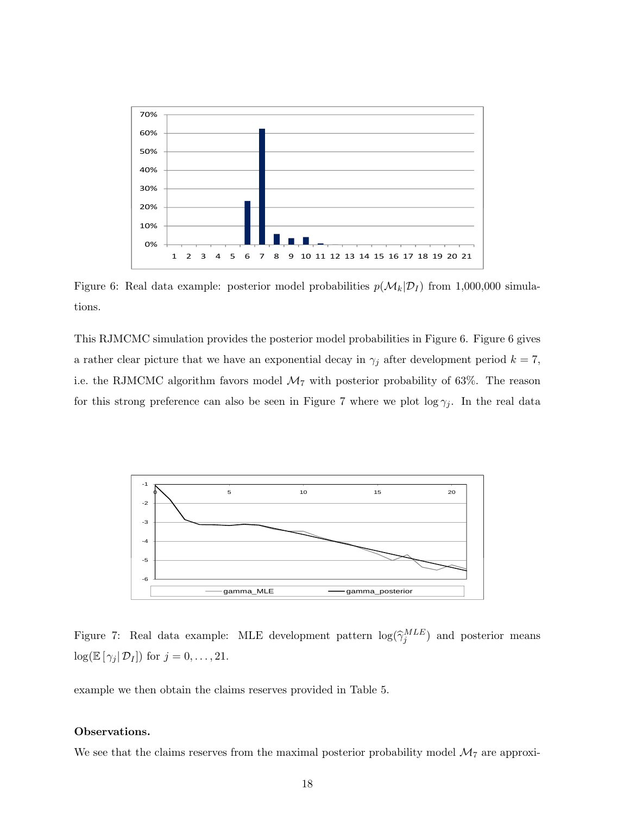

Figure 6: Real data example: posterior model probabilities  $p(M_k|D_I)$  from 1,000,000 simulations.

This RJMCMC simulation provides the posterior model probabilities in Figure 6. Figure 6 gives a rather clear picture that we have an exponential decay in  $\gamma_j$  after development period  $k = 7$ , i.e. the RJMCMC algorithm favors model  $\mathcal{M}_7$  with posterior probability of 63%. The reason for this strong preference can also be seen in Figure 7 where we plot  $\log \gamma_j$ . In the real data



Figure 7: Real data example: MLE development pattern  $\log(\hat{\gamma}_j^{MLE})$  and posterior means  $\log(\mathbb{E} [\gamma_j | \mathcal{D}_I])$  for  $j = 0, \ldots, 21$ .

example we then obtain the claims reserves provided in Table 5.

#### Observations.

We see that the claims reserves from the maximal posterior probability model  $\mathcal{M}_7$  are approxi-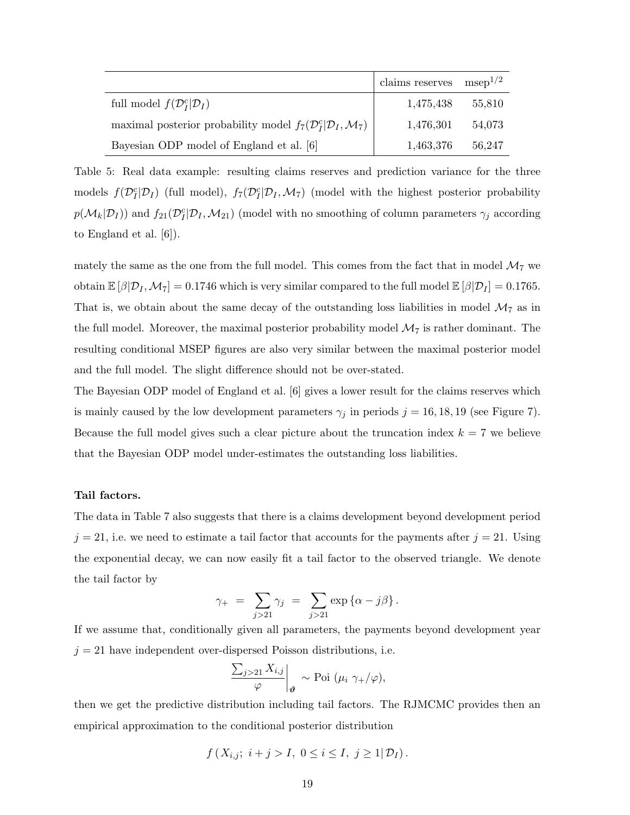|                                                                                        | claims reserves $msep^{1/2}$ |        |
|----------------------------------------------------------------------------------------|------------------------------|--------|
| full model $f(\mathcal{D}_I^c \mathcal{D}_I)$                                          | 1,475,438                    | 55,810 |
| maximal posterior probability model $f_7(\mathcal{D}_I^c \mathcal{D}_I,\mathcal{M}_7)$ | 1,476,301                    | 54,073 |
| Bayesian ODP model of England et al. [6]                                               | 1,463,376                    | 56,247 |

Table 5: Real data example: resulting claims reserves and prediction variance for the three models  $f(\mathcal{D}_I^c|\mathcal{D}_I)$  (full model),  $f_7(\mathcal{D}_I^c|\mathcal{D}_I,\mathcal{M}_7)$  (model with the highest posterior probability  $p(M_k|D_I)$ ) and  $f_{21}(D_I^c|D_I, M_{21})$  (model with no smoothing of column parameters  $\gamma_j$  according to England et al. [6]).

mately the same as the one from the full model. This comes from the fact that in model  $\mathcal{M}_7$  we obtain  $\mathbb{E}[\beta|\mathcal{D}_I, \mathcal{M}_7] = 0.1746$  which is very similar compared to the full model  $\mathbb{E}[\beta|\mathcal{D}_I] = 0.1765$ . That is, we obtain about the same decay of the outstanding loss liabilities in model  $\mathcal{M}_7$  as in the full model. Moreover, the maximal posterior probability model  $\mathcal{M}_7$  is rather dominant. The resulting conditional MSEP figures are also very similar between the maximal posterior model and the full model. The slight difference should not be over-stated.

The Bayesian ODP model of England et al. [6] gives a lower result for the claims reserves which is mainly caused by the low development parameters  $\gamma_j$  in periods  $j = 16, 18, 19$  (see Figure 7). Because the full model gives such a clear picture about the truncation index  $k = 7$  we believe that the Bayesian ODP model under-estimates the outstanding loss liabilities.

#### Tail factors.

The data in Table 7 also suggests that there is a claims development beyond development period  $j = 21$ , i.e. we need to estimate a tail factor that accounts for the payments after  $j = 21$ . Using the exponential decay, we can now easily fit a tail factor to the observed triangle. We denote the tail factor by

$$
\gamma_+ = \sum_{j>21} \gamma_j = \sum_{j>21} \exp \left\{ \alpha - j\beta \right\}.
$$

If we assume that, conditionally given all parameters, the payments beyond development year  $j = 21$  have independent over-dispersed Poisson distributions, i.e.

$$
\left.\frac{\sum_{j>21}X_{i,j}}{\varphi}\right|_{\mathbf{\theta}} \sim \text{Poi }(\mu_i \gamma_+/\varphi),
$$

then we get the predictive distribution including tail factors. The RJMCMC provides then an empirical approximation to the conditional posterior distribution

$$
f(X_{i,j}; i+j > I, 0 \leq i \leq I, j \geq 1 | \mathcal{D}_I).
$$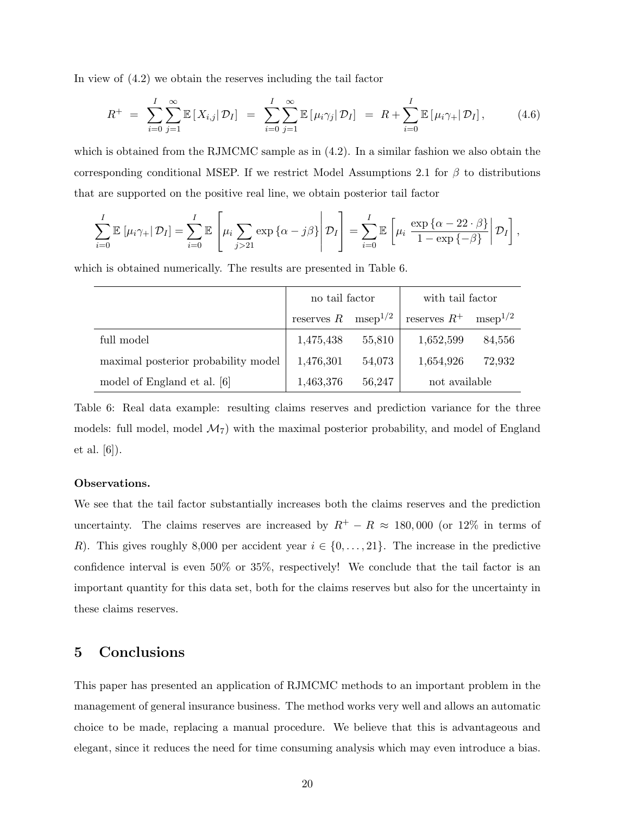In view of (4.2) we obtain the reserves including the tail factor

$$
R^{+} = \sum_{i=0}^{I} \sum_{j=1}^{\infty} \mathbb{E} \left[ X_{i,j} | \mathcal{D}_{I} \right] = \sum_{i=0}^{I} \sum_{j=1}^{\infty} \mathbb{E} \left[ \mu_{i} \gamma_{j} | \mathcal{D}_{I} \right] = R + \sum_{i=0}^{I} \mathbb{E} \left[ \mu_{i} \gamma_{+} | \mathcal{D}_{I} \right], \tag{4.6}
$$

which is obtained from the RJMCMC sample as in  $(4.2)$ . In a similar fashion we also obtain the corresponding conditional MSEP. If we restrict Model Assumptions 2.1 for  $\beta$  to distributions that are supported on the positive real line, we obtain posterior tail factor

$$
\sum_{i=0}^{I} \mathbb{E} \left[ \mu_i \gamma_+ | \mathcal{D}_I \right] = \sum_{i=0}^{I} \mathbb{E} \left[ \mu_i \sum_{j>21} \exp \left\{ \alpha - j\beta \right\} \middle| \mathcal{D}_I \right] = \sum_{i=0}^{I} \mathbb{E} \left[ \mu_i \frac{\exp \left\{ \alpha - 22 \cdot \beta \right\}}{1 - \exp \left\{ -\beta \right\}} \middle| \mathcal{D}_I \right],
$$

which is obtained numerically. The results are presented in Table 6.

|                                     | no tail factor                   |        | with tail factor |              |  |  |  |
|-------------------------------------|----------------------------------|--------|------------------|--------------|--|--|--|
|                                     | reserves $R$ msep <sup>1/2</sup> |        | reserves $R^+$   | $msep^{1/2}$ |  |  |  |
| full model                          | 1,475,438                        | 55,810 | 1,652,599        | 84,556       |  |  |  |
| maximal posterior probability model | 1,476,301                        | 54,073 | 1,654,926        | 72,932       |  |  |  |
| model of England et al. [6]         | 1,463,376                        | 56,247 | not available    |              |  |  |  |

Table 6: Real data example: resulting claims reserves and prediction variance for the three models: full model, model  $\mathcal{M}_7$  with the maximal posterior probability, and model of England et al. [6]).

#### Observations.

We see that the tail factor substantially increases both the claims reserves and the prediction uncertainty. The claims reserves are increased by  $R^+ - R \approx 180,000$  (or 12% in terms of R). This gives roughly 8,000 per accident year  $i \in \{0, \ldots, 21\}$ . The increase in the predictive confidence interval is even 50% or 35%, respectively! We conclude that the tail factor is an important quantity for this data set, both for the claims reserves but also for the uncertainty in these claims reserves.

## 5 Conclusions

This paper has presented an application of RJMCMC methods to an important problem in the management of general insurance business. The method works very well and allows an automatic choice to be made, replacing a manual procedure. We believe that this is advantageous and elegant, since it reduces the need for time consuming analysis which may even introduce a bias.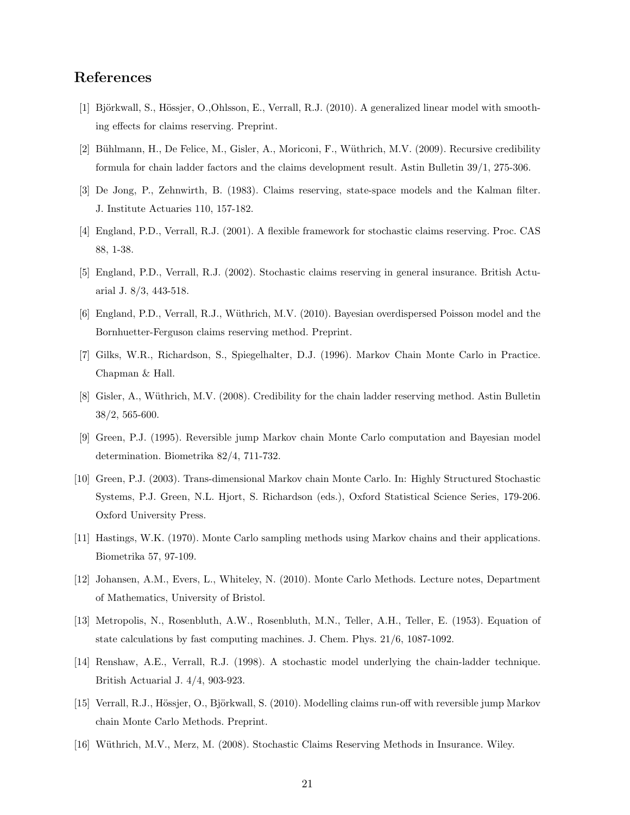## References

- [1] Björkwall, S., Hössjer, O.,Ohlsson, E., Verrall, R.J. (2010). A generalized linear model with smoothing effects for claims reserving. Preprint.
- [2] Bühlmann, H., De Felice, M., Gisler, A., Moriconi, F., Wüthrich, M.V. (2009). Recursive credibility formula for chain ladder factors and the claims development result. Astin Bulletin 39/1, 275-306.
- [3] De Jong, P., Zehnwirth, B. (1983). Claims reserving, state-space models and the Kalman filter. J. Institute Actuaries 110, 157-182.
- [4] England, P.D., Verrall, R.J. (2001). A flexible framework for stochastic claims reserving. Proc. CAS 88, 1-38.
- [5] England, P.D., Verrall, R.J. (2002). Stochastic claims reserving in general insurance. British Actuarial J. 8/3, 443-518.
- [6] England, P.D., Verrall, R.J., W¨uthrich, M.V. (2010). Bayesian overdispersed Poisson model and the Bornhuetter-Ferguson claims reserving method. Preprint.
- [7] Gilks, W.R., Richardson, S., Spiegelhalter, D.J. (1996). Markov Chain Monte Carlo in Practice. Chapman & Hall.
- [8] Gisler, A., Wüthrich, M.V. (2008). Credibility for the chain ladder reserving method. Astin Bulletin 38/2, 565-600.
- [9] Green, P.J. (1995). Reversible jump Markov chain Monte Carlo computation and Bayesian model determination. Biometrika 82/4, 711-732.
- [10] Green, P.J. (2003). Trans-dimensional Markov chain Monte Carlo. In: Highly Structured Stochastic Systems, P.J. Green, N.L. Hjort, S. Richardson (eds.), Oxford Statistical Science Series, 179-206. Oxford University Press.
- [11] Hastings, W.K. (1970). Monte Carlo sampling methods using Markov chains and their applications. Biometrika 57, 97-109.
- [12] Johansen, A.M., Evers, L., Whiteley, N. (2010). Monte Carlo Methods. Lecture notes, Department of Mathematics, University of Bristol.
- [13] Metropolis, N., Rosenbluth, A.W., Rosenbluth, M.N., Teller, A.H., Teller, E. (1953). Equation of state calculations by fast computing machines. J. Chem. Phys. 21/6, 1087-1092.
- [14] Renshaw, A.E., Verrall, R.J. (1998). A stochastic model underlying the chain-ladder technique. British Actuarial J. 4/4, 903-923.
- [15] Verrall, R.J., Hössjer, O., Björkwall, S. (2010). Modelling claims run-off with reversible jump Markov chain Monte Carlo Methods. Preprint.
- [16] Wüthrich, M.V., Merz, M. (2008). Stochastic Claims Reserving Methods in Insurance. Wiley.